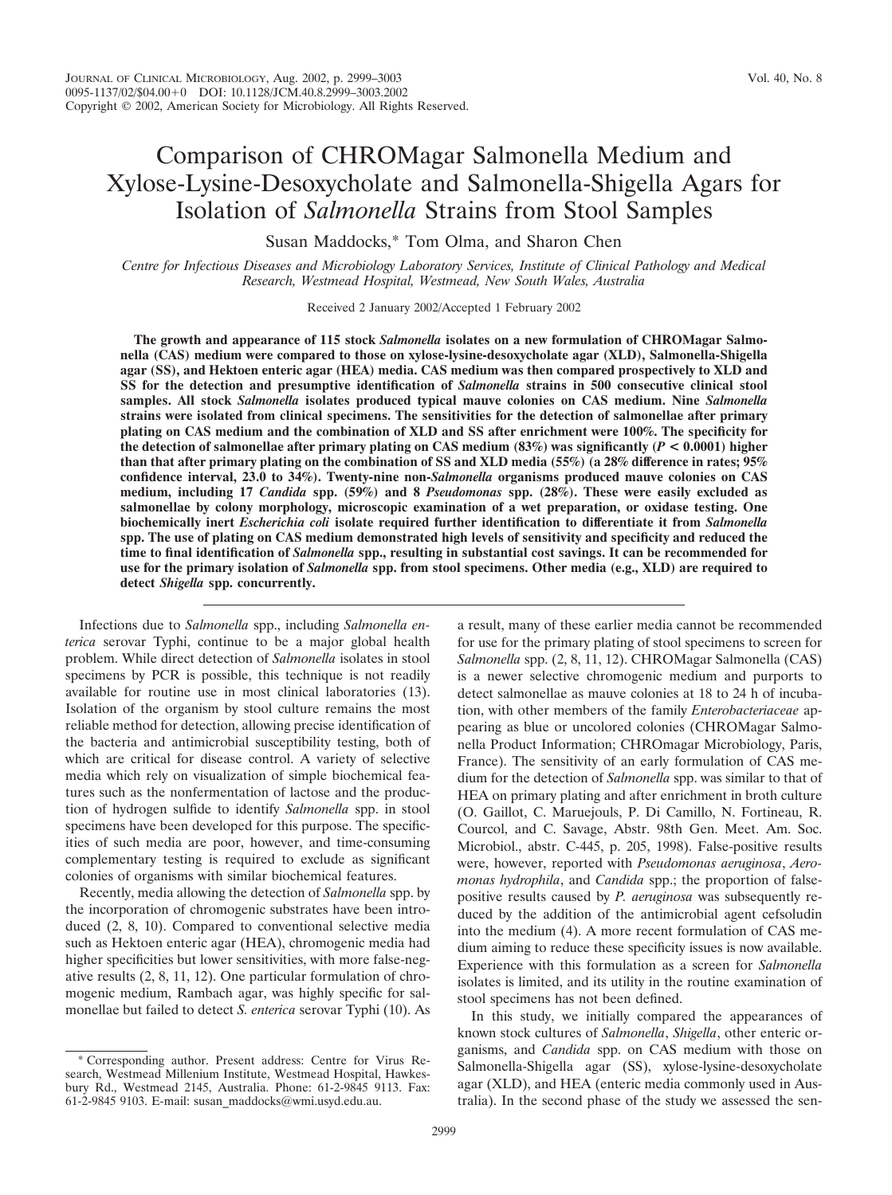# Comparison of CHROMagar Salmonella Medium and Xylose-Lysine-Desoxycholate and Salmonella-Shigella Agars for Isolation of *Salmonella* Strains from Stool Samples

Susan Maddocks,\* Tom Olma, and Sharon Chen

*Centre for Infectious Diseases and Microbiology Laboratory Services, Institute of Clinical Pathology and Medical Research, Westmead Hospital, Westmead, New South Wales, Australia*

Received 2 January 2002/Accepted 1 February 2002

**The growth and appearance of 115 stock** *Salmonella* **isolates on a new formulation of CHROMagar Salmonella (CAS) medium were compared to those on xylose-lysine-desoxycholate agar (XLD), Salmonella-Shigella agar (SS), and Hektoen enteric agar (HEA) media. CAS medium was then compared prospectively to XLD and SS for the detection and presumptive identification of** *Salmonella* **strains in 500 consecutive clinical stool samples. All stock** *Salmonella* **isolates produced typical mauve colonies on CAS medium. Nine** *Salmonella* **strains were isolated from clinical specimens. The sensitivities for the detection of salmonellae after primary plating on CAS medium and the combination of XLD and SS after enrichment were 100%. The specificity for the detection of salmonellae after primary plating on CAS medium (83%) was significantly (***P* **< 0.0001) higher than that after primary plating on the combination of SS and XLD media (55%) (a 28% difference in rates; 95% confidence interval, 23.0 to 34%). Twenty-nine non-***Salmonella* **organisms produced mauve colonies on CAS medium, including 17** *Candida* **spp. (59%) and 8** *Pseudomonas* **spp. (28%). These were easily excluded as salmonellae by colony morphology, microscopic examination of a wet preparation, or oxidase testing. One biochemically inert** *Escherichia coli* **isolate required further identification to differentiate it from** *Salmonella* **spp. The use of plating on CAS medium demonstrated high levels of sensitivity and specificity and reduced the time to final identification of** *Salmonella* **spp., resulting in substantial cost savings. It can be recommended for use for the primary isolation of** *Salmonella* **spp. from stool specimens. Other media (e.g., XLD) are required to detect** *Shigella* **spp. concurrently.**

Infections due to *Salmonella* spp., including *Salmonella enterica* serovar Typhi, continue to be a major global health problem. While direct detection of *Salmonella* isolates in stool specimens by PCR is possible, this technique is not readily available for routine use in most clinical laboratories (13). Isolation of the organism by stool culture remains the most reliable method for detection, allowing precise identification of the bacteria and antimicrobial susceptibility testing, both of which are critical for disease control. A variety of selective media which rely on visualization of simple biochemical features such as the nonfermentation of lactose and the production of hydrogen sulfide to identify *Salmonella* spp. in stool specimens have been developed for this purpose. The specificities of such media are poor, however, and time-consuming complementary testing is required to exclude as significant colonies of organisms with similar biochemical features.

Recently, media allowing the detection of *Salmonella* spp. by the incorporation of chromogenic substrates have been introduced (2, 8, 10). Compared to conventional selective media such as Hektoen enteric agar (HEA), chromogenic media had higher specificities but lower sensitivities, with more false-negative results (2, 8, 11, 12). One particular formulation of chromogenic medium, Rambach agar, was highly specific for salmonellae but failed to detect *S. enterica* serovar Typhi (10). As

\* Corresponding author. Present address: Centre for Virus Research, Westmead Millenium Institute, Westmead Hospital, Hawkesbury Rd., Westmead 2145, Australia. Phone: 61-2-9845 9113. Fax: 61-2-9845 9103. E-mail: susan\_maddocks@wmi.usyd.edu.au.

a result, many of these earlier media cannot be recommended for use for the primary plating of stool specimens to screen for *Salmonella* spp. (2, 8, 11, 12). CHROMagar Salmonella (CAS) is a newer selective chromogenic medium and purports to detect salmonellae as mauve colonies at 18 to 24 h of incubation, with other members of the family *Enterobacteriaceae* appearing as blue or uncolored colonies (CHROMagar Salmonella Product Information; CHROmagar Microbiology, Paris, France). The sensitivity of an early formulation of CAS medium for the detection of *Salmonella* spp. was similar to that of HEA on primary plating and after enrichment in broth culture (O. Gaillot, C. Maruejouls, P. Di Camillo, N. Fortineau, R. Courcol, and C. Savage, Abstr. 98th Gen. Meet. Am. Soc. Microbiol., abstr. C-445, p. 205, 1998). False-positive results were, however, reported with *Pseudomonas aeruginosa*, *Aeromonas hydrophila*, and *Candida* spp.; the proportion of falsepositive results caused by *P. aeruginosa* was subsequently reduced by the addition of the antimicrobial agent cefsoludin into the medium (4). A more recent formulation of CAS medium aiming to reduce these specificity issues is now available. Experience with this formulation as a screen for *Salmonella* isolates is limited, and its utility in the routine examination of stool specimens has not been defined.

In this study, we initially compared the appearances of known stock cultures of *Salmonella*, *Shigella*, other enteric organisms, and *Candida* spp. on CAS medium with those on Salmonella-Shigella agar (SS), xylose-lysine-desoxycholate agar (XLD), and HEA (enteric media commonly used in Australia). In the second phase of the study we assessed the sen-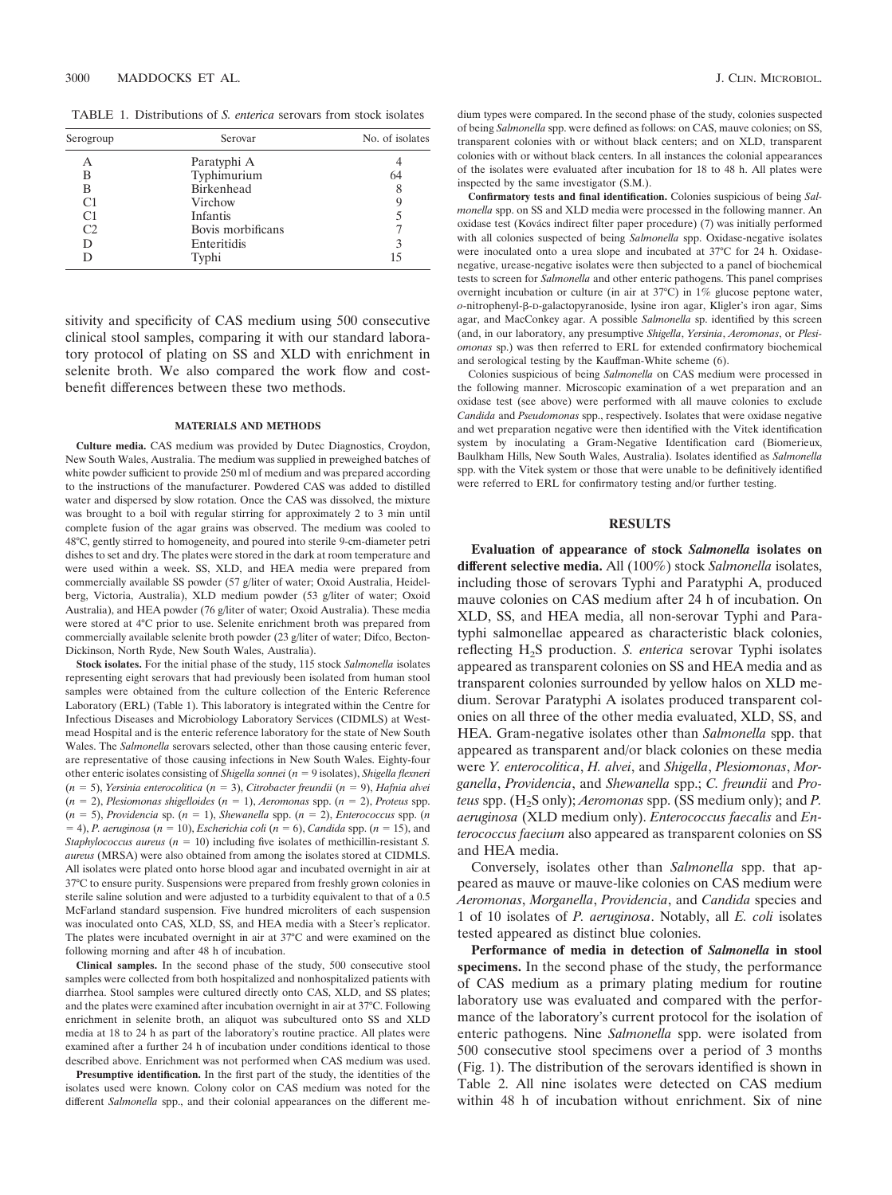TABLE 1. Distributions of *S. enterica* serovars from stock isolates

| Serogroup | Serovar           | No. of isolates |  |
|-----------|-------------------|-----------------|--|
| А         | Paratyphi A       |                 |  |
| в         | Typhimurium       | 64              |  |
| в         | Birkenhead        | 8               |  |
| C1        | Virchow           | 9               |  |
| C1        | Infantis          |                 |  |
| C2        | Bovis morbificans |                 |  |
| D         | Enteritidis       | 3               |  |
| D         | Typhi             | 15              |  |

sitivity and specificity of CAS medium using 500 consecutive clinical stool samples, comparing it with our standard laboratory protocol of plating on SS and XLD with enrichment in selenite broth. We also compared the work flow and costbenefit differences between these two methods.

#### **MATERIALS AND METHODS**

**Culture media.** CAS medium was provided by Dutec Diagnostics, Croydon, New South Wales, Australia. The medium was supplied in preweighed batches of white powder sufficient to provide 250 ml of medium and was prepared according to the instructions of the manufacturer. Powdered CAS was added to distilled water and dispersed by slow rotation. Once the CAS was dissolved, the mixture was brought to a boil with regular stirring for approximately 2 to 3 min until complete fusion of the agar grains was observed. The medium was cooled to 48°C, gently stirred to homogeneity, and poured into sterile 9-cm-diameter petri dishes to set and dry. The plates were stored in the dark at room temperature and were used within a week. SS, XLD, and HEA media were prepared from commercially available SS powder (57 g/liter of water; Oxoid Australia, Heidelberg, Victoria, Australia), XLD medium powder (53 g/liter of water; Oxoid Australia), and HEA powder (76 g/liter of water; Oxoid Australia). These media were stored at 4°C prior to use. Selenite enrichment broth was prepared from commercially available selenite broth powder (23 g/liter of water; Difco, Becton-Dickinson, North Ryde, New South Wales, Australia).

**Stock isolates.** For the initial phase of the study, 115 stock *Salmonella* isolates representing eight serovars that had previously been isolated from human stool samples were obtained from the culture collection of the Enteric Reference Laboratory (ERL) (Table 1). This laboratory is integrated within the Centre for Infectious Diseases and Microbiology Laboratory Services (CIDMLS) at Westmead Hospital and is the enteric reference laboratory for the state of New South Wales. The *Salmonella* serovars selected, other than those causing enteric fever, are representative of those causing infections in New South Wales. Eighty-four other enteric isolates consisting of *Shigella sonnei* (*n* = 9 isolates), *Shigella flexneri* (*n* - 5), *Yersinia enterocolitica* (*n* - 3), *Citrobacter freundii* (*n* - 9), *Hafnia alvei* (*n* - 2), *Plesiomonas shigelloides* (*n* - 1), *Aeromonas* spp. (*n* - 2), *Proteus* spp. (*n* - 5), *Providencia* sp. (*n* - 1), *Shewanella* spp. (*n* - 2), *Enterococcus* spp. (*n*  $(1, -4)$ , *P. aeruginosa* ( $n = 10$ ), *Escherichia coli* ( $n = 6$ ), *Candida* spp. ( $n = 15$ ), and *Staphylococcus aureus* ( $n = 10$ ) including five isolates of methicillin-resistant *S*. *aureus* (MRSA) were also obtained from among the isolates stored at CIDMLS. All isolates were plated onto horse blood agar and incubated overnight in air at 37°C to ensure purity. Suspensions were prepared from freshly grown colonies in sterile saline solution and were adjusted to a turbidity equivalent to that of a 0.5 McFarland standard suspension. Five hundred microliters of each suspension was inoculated onto CAS, XLD, SS, and HEA media with a Steer's replicator. The plates were incubated overnight in air at 37°C and were examined on the following morning and after 48 h of incubation.

**Clinical samples.** In the second phase of the study, 500 consecutive stool samples were collected from both hospitalized and nonhospitalized patients with diarrhea. Stool samples were cultured directly onto CAS, XLD, and SS plates; and the plates were examined after incubation overnight in air at 37°C. Following enrichment in selenite broth, an aliquot was subcultured onto SS and XLD media at 18 to 24 h as part of the laboratory's routine practice. All plates were examined after a further 24 h of incubation under conditions identical to those described above. Enrichment was not performed when CAS medium was used.

**Presumptive identification.** In the first part of the study, the identities of the isolates used were known. Colony color on CAS medium was noted for the different *Salmonella* spp., and their colonial appearances on the different me-

dium types were compared. In the second phase of the study, colonies suspected of being *Salmonella* spp. were defined as follows: on CAS, mauve colonies: on SS, transparent colonies with or without black centers; and on XLD, transparent colonies with or without black centers. In all instances the colonial appearances of the isolates were evaluated after incubation for 18 to 48 h. All plates were inspected by the same investigator (S.M.).

**Confirmatory tests and final identification.** Colonies suspicious of being *Salmonella* spp. on SS and XLD media were processed in the following manner. An oxidase test (Kovács indirect filter paper procedure) (7) was initially performed with all colonies suspected of being *Salmonella* spp. Oxidase-negative isolates were inoculated onto a urea slope and incubated at 37°C for 24 h. Oxidasenegative, urease-negative isolates were then subjected to a panel of biochemical tests to screen for *Salmonella* and other enteric pathogens. This panel comprises overnight incubation or culture (in air at 37°C) in 1% glucose peptone water, *o*-nitrophenyl-β-D-galactopyranoside, lysine iron agar, Kligler's iron agar, Sims agar, and MacConkey agar. A possible *Salmonella* sp. identified by this screen (and, in our laboratory, any presumptive *Shigella*, *Yersinia*, *Aeromonas*, or *Plesiomonas* sp.) was then referred to ERL for extended confirmatory biochemical and serological testing by the Kauffman-White scheme (6).

Colonies suspicious of being *Salmonella* on CAS medium were processed in the following manner. Microscopic examination of a wet preparation and an oxidase test (see above) were performed with all mauve colonies to exclude *Candida* and *Pseudomonas* spp., respectively. Isolates that were oxidase negative and wet preparation negative were then identified with the Vitek identification system by inoculating a Gram-Negative Identification card (Biomerieux, Baulkham Hills, New South Wales, Australia). Isolates identified as *Salmonella* spp. with the Vitek system or those that were unable to be definitively identified were referred to ERL for confirmatory testing and/or further testing.

# **RESULTS**

**Evaluation of appearance of stock** *Salmonella* **isolates on different selective media.** All (100%) stock *Salmonella* isolates, including those of serovars Typhi and Paratyphi A, produced mauve colonies on CAS medium after 24 h of incubation. On XLD, SS, and HEA media, all non-serovar Typhi and Paratyphi salmonellae appeared as characteristic black colonies, reflecting H<sub>2</sub>S production. *S. enterica* serovar Typhi isolates appeared as transparent colonies on SS and HEA media and as transparent colonies surrounded by yellow halos on XLD medium. Serovar Paratyphi A isolates produced transparent colonies on all three of the other media evaluated, XLD, SS, and HEA. Gram-negative isolates other than *Salmonella* spp. that appeared as transparent and/or black colonies on these media were *Y. enterocolitica*, *H. alvei*, and *Shigella*, *Plesiomonas*, *Morganella*, *Providencia*, and *Shewanella* spp.; *C. freundii* and *Proteus* spp. (H<sub>2</sub>S only); *Aeromonas* spp. (SS medium only); and P. *aeruginosa* (XLD medium only). *Enterococcus faecalis* and *Enterococcus faecium* also appeared as transparent colonies on SS and HEA media.

Conversely, isolates other than *Salmonella* spp. that appeared as mauve or mauve-like colonies on CAS medium were *Aeromonas*, *Morganella*, *Providencia*, and *Candida* species and 1 of 10 isolates of *P. aeruginosa*. Notably, all *E. coli* isolates tested appeared as distinct blue colonies.

**Performance of media in detection of** *Salmonella* **in stool specimens.** In the second phase of the study, the performance of CAS medium as a primary plating medium for routine laboratory use was evaluated and compared with the performance of the laboratory's current protocol for the isolation of enteric pathogens. Nine *Salmonella* spp. were isolated from 500 consecutive stool specimens over a period of 3 months (Fig. 1). The distribution of the serovars identified is shown in Table 2. All nine isolates were detected on CAS medium within 48 h of incubation without enrichment. Six of nine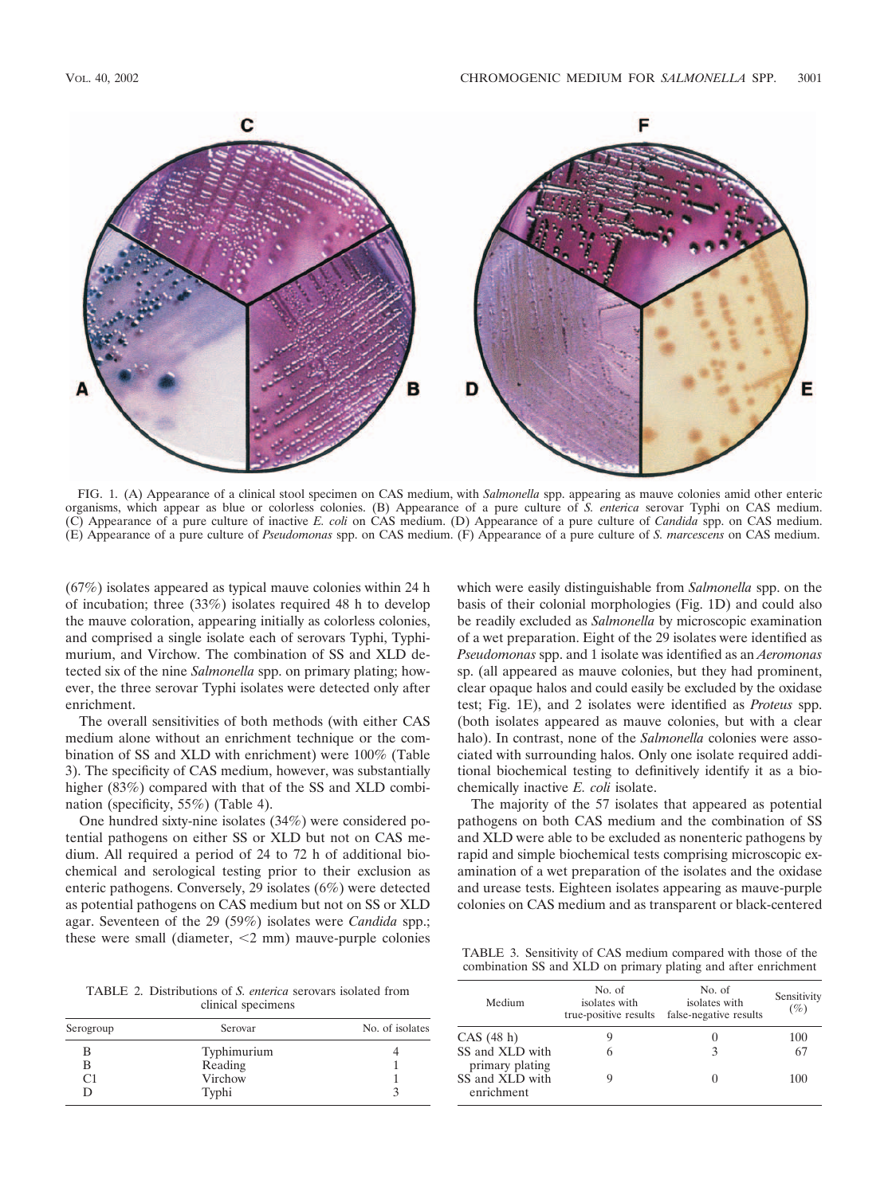

FIG. 1. (A) Appearance of a clinical stool specimen on CAS medium, with *Salmonella* spp. appearing as mauve colonies amid other enteric organisms, which appear as blue or colorless colonies. (B) Appearance of a pure culture of *S. enterica* serovar Typhi on CAS medium. (C) Appearance of a pure culture of inactive *E. coli* on CAS medium. (D) Appearance of a pure culture of *Candida* spp. on CAS medium. (E) Appearance of a pure culture of *Pseudomonas* spp. on CAS medium. (F) Appearance of a pure culture of *S. marcescens* on CAS medium.

(67%) isolates appeared as typical mauve colonies within 24 h of incubation; three (33%) isolates required 48 h to develop the mauve coloration, appearing initially as colorless colonies, and comprised a single isolate each of serovars Typhi, Typhimurium, and Virchow. The combination of SS and XLD detected six of the nine *Salmonella* spp. on primary plating; however, the three serovar Typhi isolates were detected only after enrichment.

The overall sensitivities of both methods (with either CAS medium alone without an enrichment technique or the combination of SS and XLD with enrichment) were 100% (Table 3). The specificity of CAS medium, however, was substantially higher (83%) compared with that of the SS and XLD combination (specificity, 55%) (Table 4).

One hundred sixty-nine isolates (34%) were considered potential pathogens on either SS or XLD but not on CAS medium. All required a period of 24 to 72 h of additional biochemical and serological testing prior to their exclusion as enteric pathogens. Conversely, 29 isolates (6%) were detected as potential pathogens on CAS medium but not on SS or XLD agar. Seventeen of the 29 (59%) isolates were *Candida* spp.; these were small (diameter,  $\leq 2$  mm) mauve-purple colonies

TABLE 2. Distributions of *S. enterica* serovars isolated from clinical specimens

| Serogroup | Serovar     | No. of isolates |  |
|-----------|-------------|-----------------|--|
| В         | Typhimurium |                 |  |
| В         | Reading     |                 |  |
| C1        | Virchow     |                 |  |
| D         | Typhi       |                 |  |

which were easily distinguishable from *Salmonella* spp. on the basis of their colonial morphologies (Fig. 1D) and could also be readily excluded as *Salmonella* by microscopic examination of a wet preparation. Eight of the 29 isolates were identified as *Pseudomonas* spp. and 1 isolate was identified as an *Aeromonas* sp. (all appeared as mauve colonies, but they had prominent, clear opaque halos and could easily be excluded by the oxidase test; Fig. 1E), and 2 isolates were identified as *Proteus* spp. (both isolates appeared as mauve colonies, but with a clear halo). In contrast, none of the *Salmonella* colonies were associated with surrounding halos. Only one isolate required additional biochemical testing to definitively identify it as a biochemically inactive *E. coli* isolate.

The majority of the 57 isolates that appeared as potential pathogens on both CAS medium and the combination of SS and XLD were able to be excluded as nonenteric pathogens by rapid and simple biochemical tests comprising microscopic examination of a wet preparation of the isolates and the oxidase and urease tests. Eighteen isolates appearing as mauve-purple colonies on CAS medium and as transparent or black-centered

TABLE 3. Sensitivity of CAS medium compared with those of the combination SS and XLD on primary plating and after enrichment

| Medium                             | No. of<br>isolates with<br>true-positive results | No. of<br>isolates with<br>false-negative results | Sensitivity<br>(%) |
|------------------------------------|--------------------------------------------------|---------------------------------------------------|--------------------|
| CAS (48 h)                         |                                                  |                                                   | 100                |
| SS and XLD with<br>primary plating | 6                                                |                                                   | 67                 |
| SS and XLD with<br>enrichment      |                                                  |                                                   | 100                |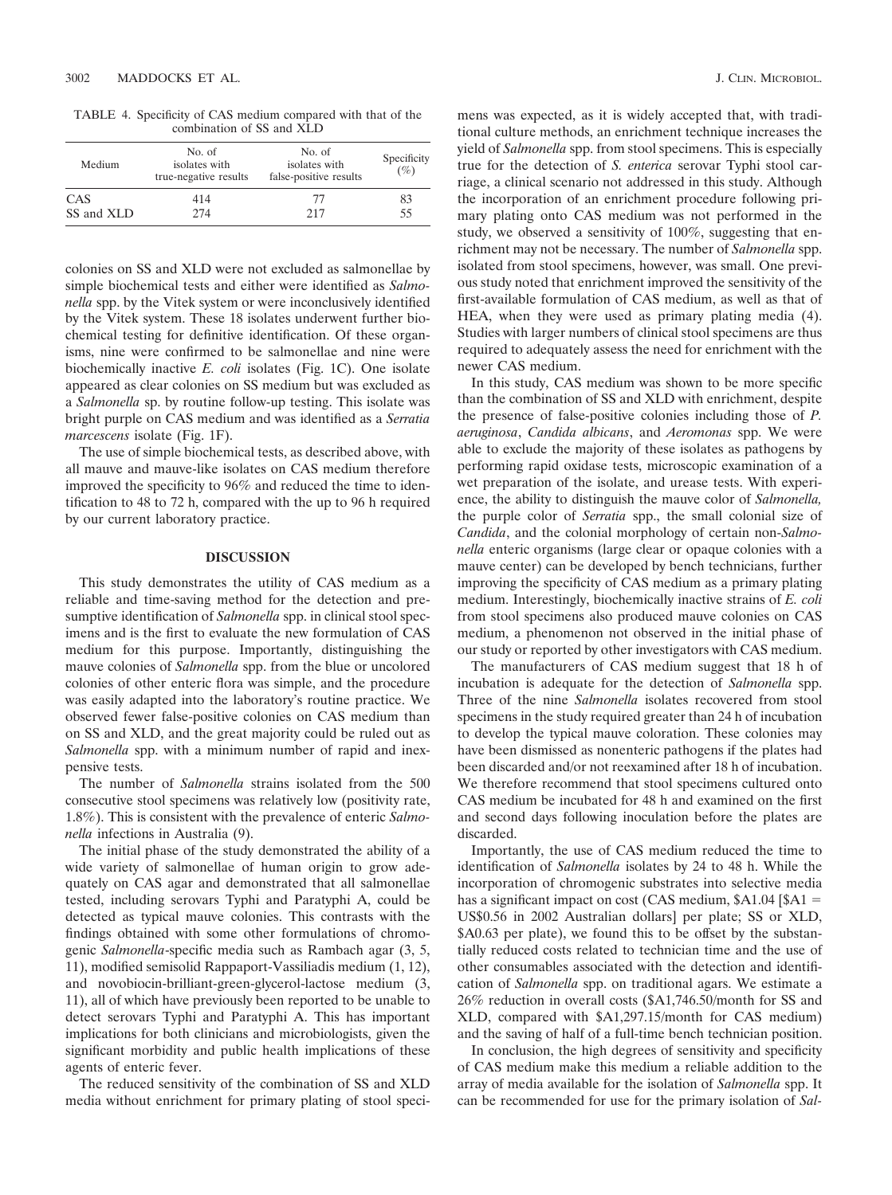TABLE 4. Specificity of CAS medium compared with that of the combination of SS and XLD

| No. of<br>isolates with<br>true-negative results | No. of<br>isolates with<br>false-positive results | Specificity<br>$(\%)$ |
|--------------------------------------------------|---------------------------------------------------|-----------------------|
| 414                                              | 77                                                | 83                    |
| 274                                              | 217                                               | 55                    |
|                                                  |                                                   |                       |

colonies on SS and XLD were not excluded as salmonellae by simple biochemical tests and either were identified as *Salmonella* spp. by the Vitek system or were inconclusively identified by the Vitek system. These 18 isolates underwent further biochemical testing for definitive identification. Of these organisms, nine were confirmed to be salmonellae and nine were biochemically inactive *E. coli* isolates (Fig. 1C). One isolate appeared as clear colonies on SS medium but was excluded as a *Salmonella* sp. by routine follow-up testing. This isolate was bright purple on CAS medium and was identified as a *Serratia marcescens* isolate (Fig. 1F).

The use of simple biochemical tests, as described above, with all mauve and mauve-like isolates on CAS medium therefore improved the specificity to 96% and reduced the time to identification to 48 to 72 h, compared with the up to 96 h required by our current laboratory practice.

# **DISCUSSION**

This study demonstrates the utility of CAS medium as a reliable and time-saving method for the detection and presumptive identification of *Salmonella* spp. in clinical stool specimens and is the first to evaluate the new formulation of CAS medium for this purpose. Importantly, distinguishing the mauve colonies of *Salmonella* spp. from the blue or uncolored colonies of other enteric flora was simple, and the procedure was easily adapted into the laboratory's routine practice. We observed fewer false-positive colonies on CAS medium than on SS and XLD, and the great majority could be ruled out as *Salmonella* spp. with a minimum number of rapid and inexpensive tests.

The number of *Salmonella* strains isolated from the 500 consecutive stool specimens was relatively low (positivity rate, 1.8%). This is consistent with the prevalence of enteric *Salmonella* infections in Australia (9).

The initial phase of the study demonstrated the ability of a wide variety of salmonellae of human origin to grow adequately on CAS agar and demonstrated that all salmonellae tested, including serovars Typhi and Paratyphi A, could be detected as typical mauve colonies. This contrasts with the findings obtained with some other formulations of chromogenic *Salmonella*-specific media such as Rambach agar (3, 5, 11), modified semisolid Rappaport-Vassiliadis medium (1, 12), and novobiocin-brilliant-green-glycerol-lactose medium (3, 11), all of which have previously been reported to be unable to detect serovars Typhi and Paratyphi A. This has important implications for both clinicians and microbiologists, given the significant morbidity and public health implications of these agents of enteric fever.

The reduced sensitivity of the combination of SS and XLD media without enrichment for primary plating of stool speci-

mens was expected, as it is widely accepted that, with traditional culture methods, an enrichment technique increases the yield of *Salmonella* spp. from stool specimens. This is especially true for the detection of *S. enterica* serovar Typhi stool carriage, a clinical scenario not addressed in this study. Although the incorporation of an enrichment procedure following primary plating onto CAS medium was not performed in the study, we observed a sensitivity of 100%, suggesting that enrichment may not be necessary. The number of *Salmonella* spp. isolated from stool specimens, however, was small. One previous study noted that enrichment improved the sensitivity of the first-available formulation of CAS medium, as well as that of HEA, when they were used as primary plating media (4). Studies with larger numbers of clinical stool specimens are thus required to adequately assess the need for enrichment with the newer CAS medium.

In this study, CAS medium was shown to be more specific than the combination of SS and XLD with enrichment, despite the presence of false-positive colonies including those of *P. aeruginosa*, *Candida albicans*, and *Aeromonas* spp. We were able to exclude the majority of these isolates as pathogens by performing rapid oxidase tests, microscopic examination of a wet preparation of the isolate, and urease tests. With experience, the ability to distinguish the mauve color of *Salmonella,* the purple color of *Serratia* spp., the small colonial size of *Candida*, and the colonial morphology of certain non-*Salmonella* enteric organisms (large clear or opaque colonies with a mauve center) can be developed by bench technicians, further improving the specificity of CAS medium as a primary plating medium. Interestingly, biochemically inactive strains of *E. coli* from stool specimens also produced mauve colonies on CAS medium, a phenomenon not observed in the initial phase of our study or reported by other investigators with CAS medium.

The manufacturers of CAS medium suggest that 18 h of incubation is adequate for the detection of *Salmonella* spp. Three of the nine *Salmonella* isolates recovered from stool specimens in the study required greater than 24 h of incubation to develop the typical mauve coloration. These colonies may have been dismissed as nonenteric pathogens if the plates had been discarded and/or not reexamined after 18 h of incubation. We therefore recommend that stool specimens cultured onto CAS medium be incubated for 48 h and examined on the first and second days following inoculation before the plates are discarded.

Importantly, the use of CAS medium reduced the time to identification of *Salmonella* isolates by 24 to 48 h. While the incorporation of chromogenic substrates into selective media has a significant impact on cost (CAS medium,  $A1.04$  [ $A1 =$ US\$0.56 in 2002 Australian dollars] per plate; SS or XLD, \$A0.63 per plate), we found this to be offset by the substantially reduced costs related to technician time and the use of other consumables associated with the detection and identification of *Salmonella* spp. on traditional agars. We estimate a 26% reduction in overall costs (\$A1,746.50/month for SS and XLD, compared with \$A1,297.15/month for CAS medium) and the saving of half of a full-time bench technician position.

In conclusion, the high degrees of sensitivity and specificity of CAS medium make this medium a reliable addition to the array of media available for the isolation of *Salmonella* spp. It can be recommended for use for the primary isolation of *Sal-*